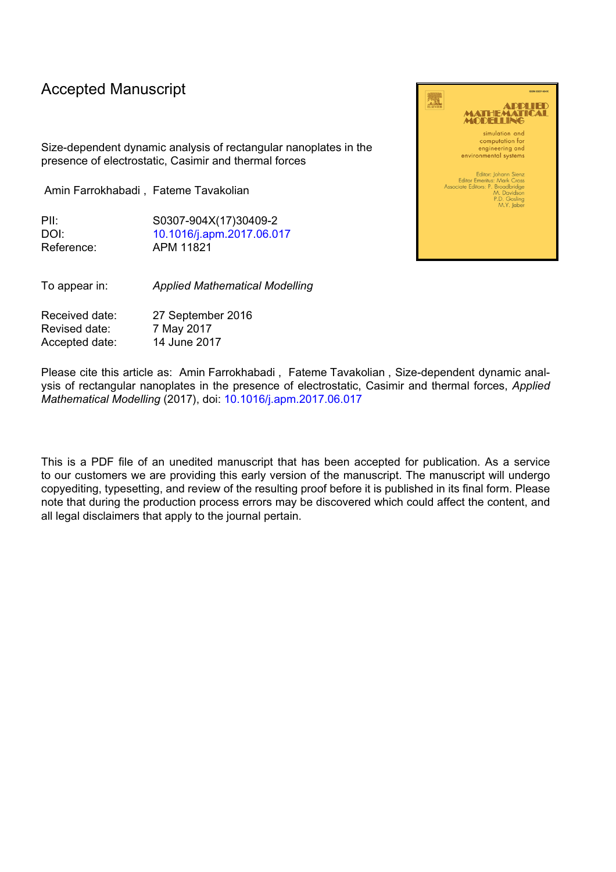## Accepted Manuscript

Size-dependent dynamic analysis of rectangular nanoplates in the presence of electrostatic, Casimir and thermal forces

Amin Farrokhabadi , Fateme Tavakolian

PII: S0307-904X(17)30409-2 DOI: [10.1016/j.apm.2017.06.017](http://dx.doi.org/10.1016/j.apm.2017.06.017) Reference: APM 11821

To appear in: *Applied Mathematical Modelling*

Received date: 27 September 2016 Revised date: 7 May 2017 Accepted date: 14 June 2017

Please cite this article as: Amin Farrokhabadi , Fateme Tavakolian , Size-dependent dynamic analysis of rectangular nanoplates in the presence of electrostatic, Casimir and thermal forces, *Applied Mathematical Modelling* (2017), doi: [10.1016/j.apm.2017.06.017](http://dx.doi.org/10.1016/j.apm.2017.06.017)

This is a PDF file of an unedited manuscript that has been accepted for publication. As a service to our customers we are providing this early version of the manuscript. The manuscript will undergo copyediting, typesetting, and review of the resulting proof before it is published in its final form. Please note that during the production process errors may be discovered which could affect the content, and all legal disclaimers that apply to the journal pertain.

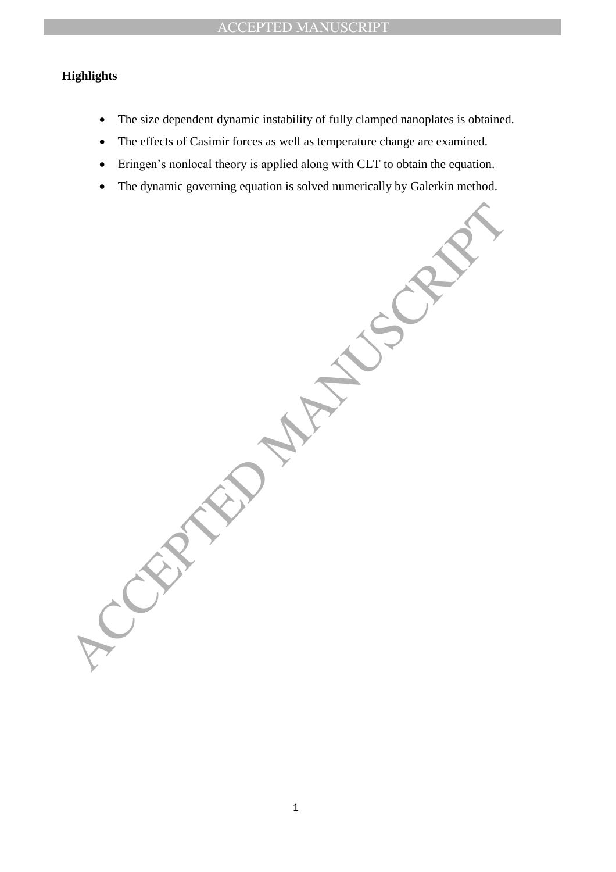## ACCEPTED MANUSCRIPT

## **Highlights**

- The size dependent dynamic instability of fully clamped nanoplates is obtained.
- The effects of Casimir forces as well as temperature change are examined.
- Eringen's nonlocal theory is applied along with CLT to obtain the equation.
- The dynamic governing equation is solved numerically by Galerkin method.

ACCEPTED MANUSCRIPT